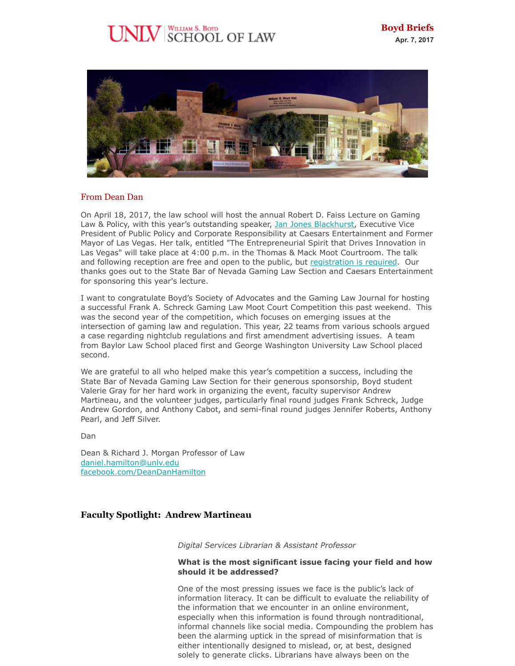# 



## From Dean Dan

On April 18, 2017, the law school will host the annual Robert D. Faiss Lecture on Gaming Law & Policy, with this year's outstanding speaker, [Jan Jones Blackhurst,](http://investor.caesars.com/management.cfm) Executive Vice President of Public Policy and Corporate Responsibility at Caesars Entertainment and Former Mayor of Las Vegas. Her talk, entitled "The Entrepreneurial Spirit that Drives Innovation in Las Vegas" will take place at 4:00 p.m. in the Thomas & Mack Moot Courtroom. The talk and following reception are free and open to the public, but [registration is required](https://www.eventbrite.com/e/the-robert-d-faiss-lecture-with-jan-jones-blackhurst-tickets-33435355047). Our thanks goes out to the State Bar of Nevada Gaming Law Section and Caesars Entertainment for sponsoring this year's lecture.

I want to congratulate Boyd's Society of Advocates and the Gaming Law Journal for hosting a successful Frank A. Schreck Gaming Law Moot Court Competition this past weekend. This was the second year of the competition, which focuses on emerging issues at the intersection of gaming law and regulation. This year, 22 teams from various schools argued a case regarding nightclub regulations and first amendment advertising issues. A team from Baylor Law School placed first and George Washington University Law School placed second.

We are grateful to all who helped make this year's competition a success, including the State Bar of Nevada Gaming Law Section for their generous sponsorship, Boyd student Valerie Gray for her hard work in organizing the event, faculty supervisor Andrew Martineau, and the volunteer judges, particularly final round judges Frank Schreck, Judge Andrew Gordon, and Anthony Cabot, and semi-final round judges Jennifer Roberts, Anthony Pearl, and Jeff Silver.

Dan

Dean & Richard J. Morgan Professor of Law [daniel.hamilton@unlv.edu](mailto:daniel.hamilton@unlv.edu) [facebook.com/DeanDanHamilton](http://r20.rs6.net/tn.jsp?f=001hu6mZ-r4pwInu2hXt_dE7ApMwbikuYJ_EQ1JSN_GURWFIVixJ8yWy5r6Zc8eSaTmmatdQfrMcfV8mDiFfoNRUz_xfJ4rwta_Xjr1nuAxckUnnkltOEaaNiCq6oFky5WvHQKWEGiWulykky9qPjBefBFq72KKxotg3FZp90DxVVI=&c=37ZOQu8EN2kmBxeBh2U4w3n3KMNz621K7LBJg4YdHjXn8iD7XOh5dg==&ch=U69Q1DVoTBxd_SaQRq9PiMJhvuW-8ywHRfeXTxj6d2aZHbrnRIRYGg==)

## **Faculty Spotlight: Andrew Martineau**

*Digital Services Librarian & Assistant Professor*

#### **What is the most significant issue facing your field and how should it be addressed?**

One of the most pressing issues we face is the public's lack of information literacy. It can be difficult to evaluate the reliability of the information that we encounter in an online environment, especially when this information is found through nontraditional, informal channels like social media. Compounding the problem has been the alarming uptick in the spread of misinformation that is either intentionally designed to mislead, or, at best, designed solely to generate clicks. Librarians have always been on the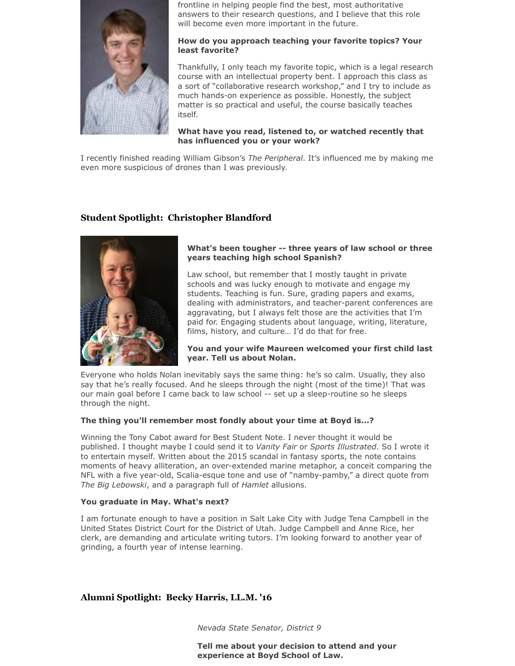

frontline in helping people find the best, most authoritative answers to their research questions, and I believe that this role will become even more important in the future.

#### **How do you approach teaching your favorite topics? Your least favorite?**

Thankfully, I only teach my favorite topic, which is a legal research course with an intellectual property bent. I approach this class as a sort of "collaborative research workshop," and I try to include as much hands-on experience as possible. Honestly, the subject matter is so practical and useful, the course basically teaches itself.

## **What have you read, listened to, or watched recently that has influenced you or your work?**

I recently finished reading William Gibson's *The Peripheral*. It's influenced me by making me even more suspicious of drones than I was previously.

# **Student Spotlight: Christopher Blandford**



#### **What's been tougher -- three years of law school or three years teaching high school Spanish?**

Law school, but remember that I mostly taught in private schools and was lucky enough to motivate and engage my students. Teaching is fun. Sure, grading papers and exams, dealing with administrators, and teacher-parent conferences are aggravating, but I always felt those are the activities that I'm paid for. Engaging students about language, writing, literature, films, history, and culture… I'd do that for free.

## **You and your wife Maureen welcomed your first child last year. Tell us about Nolan.**

Everyone who holds Nolan inevitably says the same thing: he's so calm. Usually, they also say that he's really focused. And he sleeps through the night (most of the time)! That was our main goal before I came back to law school -- set up a sleep-routine so he sleeps through the night.

## **The thing you'll remember most fondly about your time at Boyd is...?**

Winning the Tony Cabot award for Best Student Note. I never thought it would be published. I thought maybe I could send it to *Vanity Fair* or *Sports Illustrated*. So I wrote it to entertain myself. Written about the 2015 scandal in fantasy sports, the note contains moments of heavy alliteration, an over-extended marine metaphor, a conceit comparing the NFL with a five year-old, Scalia-esque tone and use of "namby-pamby," a direct quote from *The Big Lebowski*, and a paragraph full of *Hamlet* allusions.

## **You graduate in May. What's next?**

I am fortunate enough to have a position in Salt Lake City with Judge Tena Campbell in the United States District Court for the District of Utah. Judge Campbell and Anne Rice, her clerk, are demanding and articulate writing tutors. I'm looking forward to another year of grinding, a fourth year of intense learning.

# **Alumni Spotlight: Becky Harris, LL.M. '16**

*Nevada State Senator, District 9*

**Tell me about your decision to attend and your experience at Boyd School of Law.**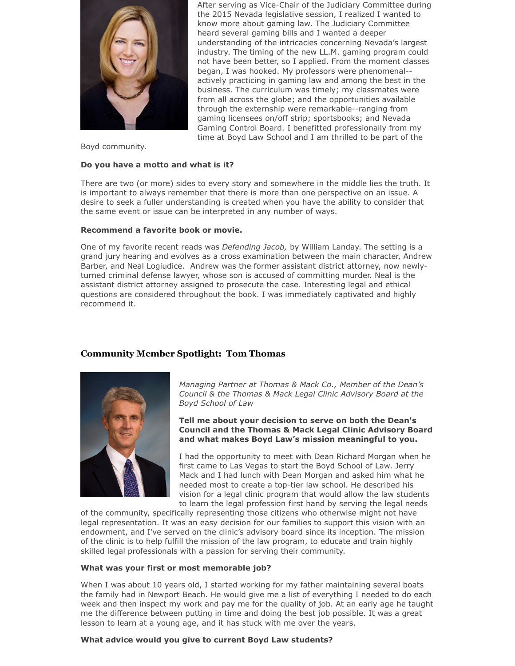

After serving as Vice-Chair of the Judiciary Committee during the 2015 Nevada legislative session, I realized I wanted to know more about gaming law. The Judiciary Committee heard several gaming bills and I wanted a deeper understanding of the intricacies concerning Nevada's largest industry. The timing of the new LL.M. gaming program could not have been better, so I applied. From the moment classes began, I was hooked. My professors were phenomenal- actively practicing in gaming law and among the best in the business. The curriculum was timely; my classmates were from all across the globe; and the opportunities available through the externship were remarkable--ranging from gaming licensees on/off strip; sportsbooks; and Nevada Gaming Control Board. I benefitted professionally from my time at Boyd Law School and I am thrilled to be part of the

Boyd community.

#### **Do you have a motto and what is it?**

There are two (or more) sides to every story and somewhere in the middle lies the truth. It is important to always remember that there is more than one perspective on an issue. A desire to seek a fuller understanding is created when you have the ability to consider that the same event or issue can be interpreted in any number of ways.

#### **Recommend a favorite book or movie.**

One of my favorite recent reads was *Defending Jacob,* by William Landay. The setting is a grand jury hearing and evolves as a cross examination between the main character, Andrew Barber, and Neal Logiudice. Andrew was the former assistant district attorney, now newlyturned criminal defense lawyer, whose son is accused of committing murder. Neal is the assistant district attorney assigned to prosecute the case. Interesting legal and ethical questions are considered throughout the book. I was immediately captivated and highly recommend it.

## **Community Member Spotlight: Tom Thomas**



*Managing Partner at Thomas & Mack Co., Member of the Dean's Council & the Thomas & Mack Legal Clinic Advisory Board at the Boyd School of Law*

**Tell me about your decision to serve on both the Dean's Council and the Thomas & Mack Legal Clinic Advisory Board and what makes Boyd Law's mission meaningful to you.**

I had the opportunity to meet with Dean Richard Morgan when he first came to Las Vegas to start the Boyd School of Law. Jerry Mack and I had lunch with Dean Morgan and asked him what he needed most to create a top-tier law school. He described his vision for a legal clinic program that would allow the law students to learn the legal profession first hand by serving the legal needs

of the community, specifically representing those citizens who otherwise might not have legal representation. It was an easy decision for our families to support this vision with an endowment, and I've served on the clinic's advisory board since its inception. The mission of the clinic is to help fulfill the mission of the law program, to educate and train highly skilled legal professionals with a passion for serving their community.

#### **What was your first or most memorable job?**

When I was about 10 years old, I started working for my father maintaining several boats the family had in Newport Beach. He would give me a list of everything I needed to do each week and then inspect my work and pay me for the quality of job. At an early age he taught me the difference between putting in time and doing the best job possible. It was a great lesson to learn at a young age, and it has stuck with me over the years.

#### **What advice would you give to current Boyd Law students?**